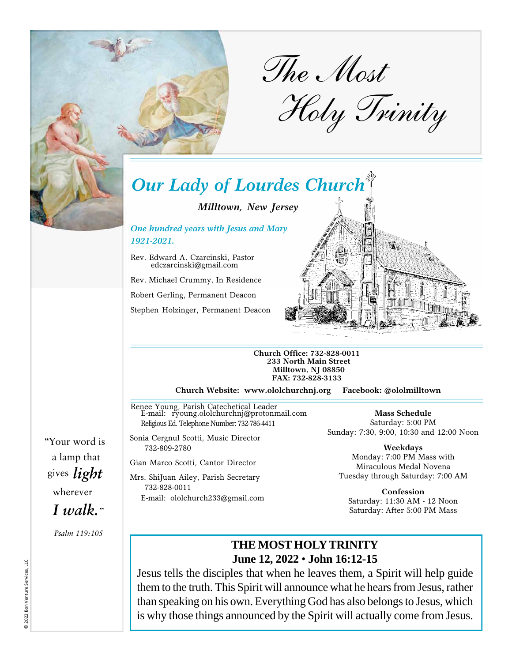

*The Most* 

*Holy Trinity* 

# *Our Lady of Lourdes Church*

*Milltown, New Jersey*

*One hundred years with Jesus and Mary 1921-2021.*

Rev. Edward A. Czarcinski, Pastor edczarcinski@gmail.com

Rev. Michael Crummy, In Residence

Robert Gerling, Permanent Deacon

Stephen Holzinger, Permanent Deacon



**Church Office: 732-828-0011 233 North Main Street Milltown, NJ 08850 FAX: 732-828-3133**

**Church Website: www.ololchurchnj.org Facebook: @ololmilltown**

Renee Young, Parish Catechetical Leader E-mail: ryoung.ololchurchnj@protonmail.com Religious Ed. Telephone Number: 732-786-4411

Sonia Cergnul Scotti, Music Director 732-809-2780

Gian Marco Scotti, Cantor Director

Mrs. ShiJuan Ailey, Parish Secretary 732-828-0011 E-mail: ololchurch233@gmail.com

**Mass Schedule** Saturday: 5:00 PM Sunday: 7:30, 9:00, 10:30 and 12:00 Noon

**Weekdays** Monday: 7:00 PM Mass with Miraculous Medal Novena Tuesday through Saturday: 7:00 AM

**Confession** Saturday: 11:30 AM - 12 Noon Saturday: After 5:00 PM Mass

## **THE MOST HOLY TRINITY June 12, 2022** • **John 16:12-15**

Jesus tells the disciples that when he leaves them, a Spirit will help guide them to the truth. This Spirit will announce what he hears from Jesus, rather than speaking on his own. Everything God has also belongs to Jesus, which is why those things announced by the Spirit will actually come from Jesus.

"Your word is a lamp that gives *light*  wherever *I walk."*

*Psalm 119:105*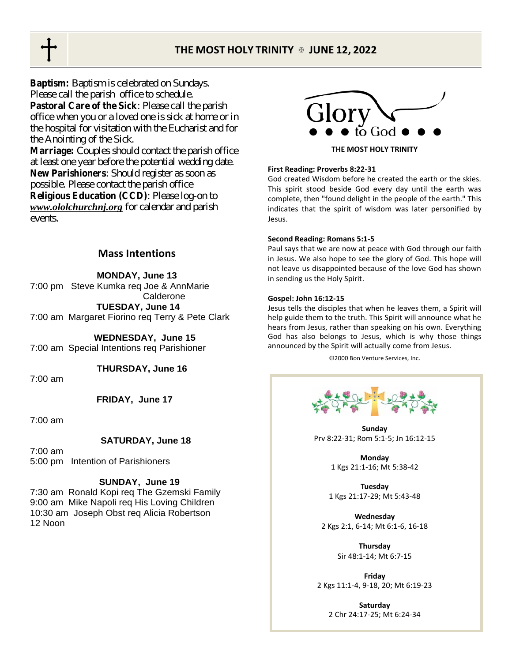## **THE MOST HOLY TRINITY JUNE 12, 2022**

**Baptism:** Baptism is celebrated on Sundays. Please call the parish office to schedule. **Pastoral Care of the Sick**: Please call the parish office when you or a loved one is sick at home or in the hospital for visitation with the Eucharist and for the Anointing of the Sick.

**Marriage:** Couples should contact the parish office at least one year before the potential wedding date. **New Parishioners**: Should register as soon as possible. Please contact the parish office **Religious Education (CCD)**: Please log-on to *[www.ololchurchnj.org](http://www.ololchurchnj.org)* for calendar and parish events.

## **Mass Intentions**

**MONDAY, June 13** 

7:00 pm Steve Kumka req Joe & AnnMarie Calderone  **TUESDAY, June 14**  7:00 am Margaret Fiorino req Terry & Pete Clark

 **WEDNESDAY, June 15** 7:00 am Special Intentions req Parishioner

 **THURSDAY, June 16** 

7:00 am

**FRIDAY, June 17** 

7:00 am

#### **SATURDAY, June 18**

7:00 am 5:00 pm Intention of Parishioners

#### **SUNDAY, June 19**

7:30 am Ronald Kopi req The Gzemski Family 9:00 am Mike Napoli req His Loving Children 10:30 am Joseph Obst req Alicia Robertson 12 Noon



**THE MOST HOLY TRINITY** 

#### **First Reading: Proverbs 8:22-31**

God created Wisdom before he created the earth or the skies. This spirit stood beside God every day until the earth was complete, then "found delight in the people of the earth." This indicates that the spirit of wisdom was later personified by Jesus.

#### **Second Reading: Romans 5:1-5**

Paul says that we are now at peace with God through our faith in Jesus. We also hope to see the glory of God. This hope will not leave us disappointed because of the love God has shown in sending us the Holy Spirit.

#### **Gospel: John 16:12-15**

Jesus tells the disciples that when he leaves them, a Spirit will help guide them to the truth. This Spirit will announce what he hears from Jesus, rather than speaking on his own. Everything God has also belongs to Jesus, which is why those things announced by the Spirit will actually come from Jesus.

©2000 Bon Venture Services, Inc.



**Sunday**  Prv 8:22-31; Rom 5:1-5; Jn 16:12-15

> **Monday**  1 Kgs 21:1-16; Mt 5:38-42

**Tuesday**  1 Kgs 21:17-29; Mt 5:43-48

**Wednesday**  2 Kgs 2:1, 6-14; Mt 6:1-6, 16-18

> **Thursday**  Sir 48:1-14; Mt 6:7-15

**Friday** 2 Kgs 11:1-4, 9-18, 20; Mt 6:19-23

> **Saturday**  2 Chr 24:17-25; Mt 6:24-34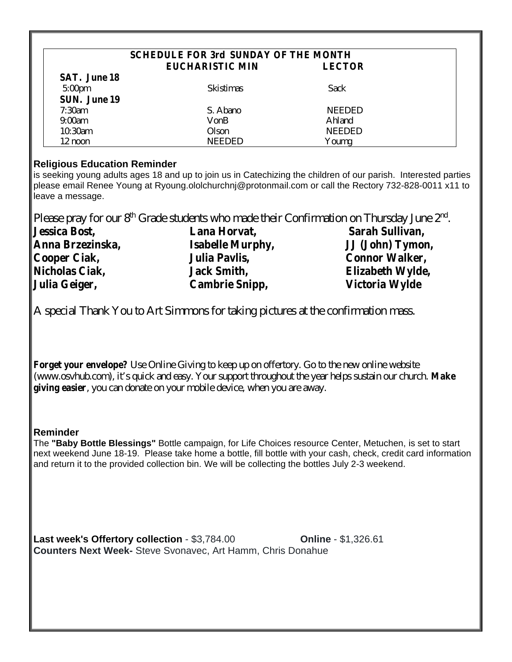### **SCHEDULE FOR 3rd SUNDAY OF THE MONTH EUCHARISTIC MIN LECTOR**

**SAT. June 18**  5:00pm Skistimas Sack **SUN. June 19**  7:30am S. Abano NEEDED 9:00am VonB Ahland 10:30am Olson NEEDED 12 noon NEEDED Youmg

## **Religious Education Reminder**

is seeking young adults ages 18 and up to join us in Catechizing the children of our parish. Interested parties please email Renee Young at [Ryoung.ololchurchnj@protonmail.com](mailto:Ryoung.ololchurchnj@protonmail.com) or call the Rectory 732-828-0011 x11 to leave a message.

Please pray for our  $8<sup>th</sup>$  Grade students who made their Confirmation on Thursday June  $2<sup>nd</sup>$ .

| <b>Jessica Bost,</b>  | Lana Horvat,            | Sarah Sullivan,       |  |  |
|-----------------------|-------------------------|-----------------------|--|--|
| Anna Brzezinska,      | <b>Isabelle Murphy,</b> | JJ (John) Tymon,      |  |  |
| Cooper Ciak,          | Julia Pavlis,           | <b>Connor Walker,</b> |  |  |
| <b>Nicholas Ciak,</b> | <b>Jack Smith,</b>      | Elizabeth Wylde,      |  |  |
| Julia Geiger,         | <b>Cambrie Snipp,</b>   | Victoria Wylde        |  |  |

A special Thank You to Art Simmons for taking pictures at the confirmation mass.

**Forget your envelope?** Use Online Giving to keep up on offertory. Go to the new online website ([www.osvhub.com\),](http://www.osvhub.com),) it's quick and easy. Your support throughout the year helps sustain our church. **Make giving easier**, you can donate on your mobile device, when you are away.

## **Reminder**

The **"Baby Bottle Blessings"** Bottle campaign, for Life Choices resource Center, Metuchen, is set to start next weekend June 18-19. Please take home a bottle, fill bottle with your cash, check, credit card information and return it to the provided collection bin. We will be collecting the bottles July 2-3 weekend.

**Last week's Offertory collection** - \$3,784.00 **Online** - \$1,326.61 **Counters Next Week-** Steve Svonavec, Art Hamm, Chris Donahue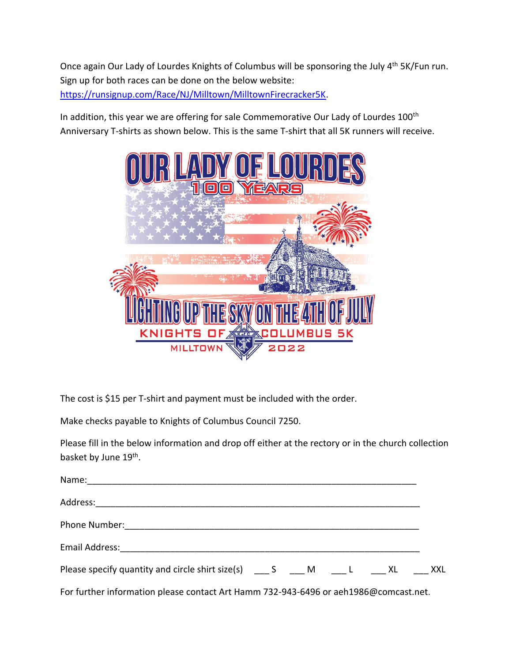Once again Our Lady of Lourdes Knights of Columbus will be sponsoring the July 4<sup>th</sup> 5K/Fun run. Sign up for both races can be done on the below website: <https://runsignup.com/Race/NJ/Milltown/MilltownFirecracker5K.>

In addition, this year we are offering for sale Commemorative Our Lady of Lourdes 100<sup>th</sup> Anniversary T-shirts as shown below. This is the same T-shirt that all 5K runners will receive.



The cost is \$15 per T-shirt and payment must be included with the order.

Make checks payable to Knights of Columbus Council 7250.

Please fill in the below information and drop off either at the rectory or in the church collection basket by June 19<sup>th</sup>.

| Name: 1990 - 1990 - 1990 - 1990 - 1991 - 1992 - 1993 - 1994 - 1994 - 1994 - 1995 - 1996 - 1997 - 1998 - 1999 - |  |  |  |
|----------------------------------------------------------------------------------------------------------------|--|--|--|
|                                                                                                                |  |  |  |
|                                                                                                                |  |  |  |
|                                                                                                                |  |  |  |
| Please specify quantity and circle shirt size(s) _____ S _____ M _____ L ______ XL ______ XXL                  |  |  |  |
| For further information please contact Art Hamm 732-943-6496 or aeh1986@comcast.net.                           |  |  |  |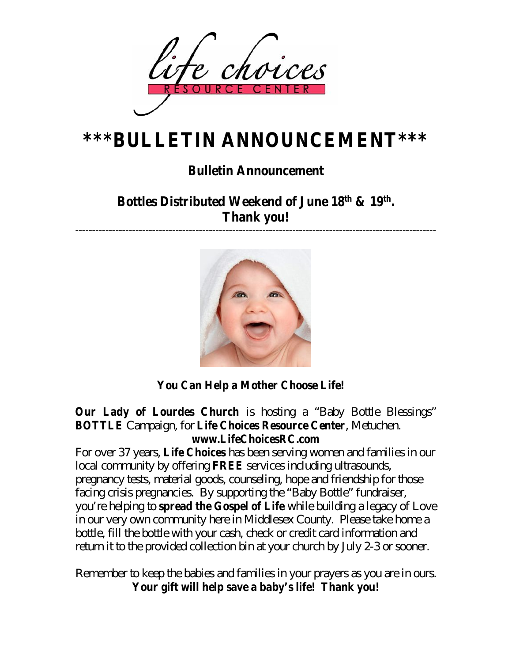

# **\*\*\*BULLETIN ANNOUNCEMENT\*\*\***

## **Bulletin Announcement**

**Bottles Distributed Weekend of June 18th & 19th . Thank you!**

------------------------------------------------------------------------------------------------------------



**You Can Help a Mother Choose Life!** 

**Our Lady of Lourdes Church** is hosting a "Baby Bottle Blessings" **BOTTLE** Campaign, for **[Life Choices Resource Ce](http://www.LifeChoicesRC.com)nter**, Metuchen. **www.LifeChoicesRC.com** 

For over 37 years, **Life Choices** has been serving women and families in our local community by offering **FREE** services including ultrasounds, pregnancy tests, material goods, counseling, hope and friendship for those facing crisis pregnancies. By supporting the "Baby Bottle" fundraiser, you're helping to **spread the Gospel of Life** while building a legacy of Love in our very own community here in Middlesex County. Please take home a bottle, fill the bottle with your cash, check or credit card information and return it to the provided collection bin at your church by July 2-3 or sooner.

Remember to keep the babies and families in your prayers as you are in ours. **Your gift will help save a baby's life! Thank you!**